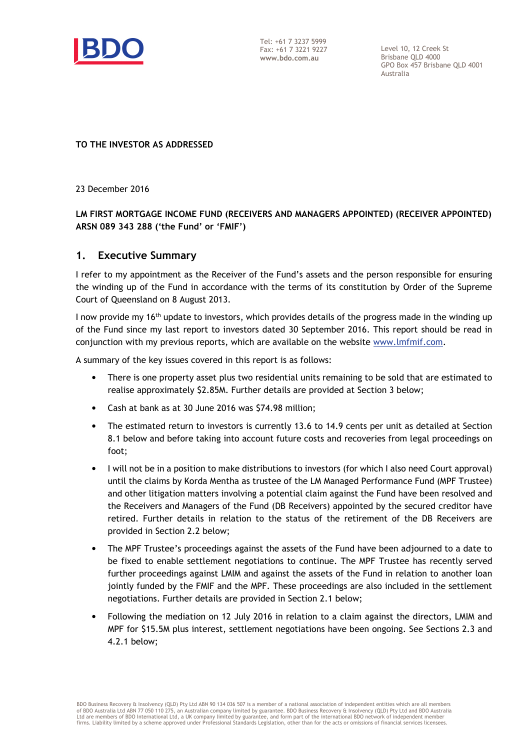

Tel: +61 7 3237 5999 Fax: +61 7 3221 9227 www.bdo.com.au

Level 10, 12 Creek St Brisbane QLD 4000 GPO Box 457 Brisbane QLD 4001 Australia

TO THE INVESTOR AS ADDRESSED

23 December 2016

## LM FIRST MORTGAGE INCOME FUND (RECEIVERS AND MANAGERS APPOINTED) (RECEIVER APPOINTED) ARSN 089 343 288 ('the Fund' or 'FMIF')

## 1. Executive Summary

I refer to my appointment as the Receiver of the Fund's assets and the person responsible for ensuring the winding up of the Fund in accordance with the terms of its constitution by Order of the Supreme Court of Queensland on 8 August 2013.

I now provide my  $16<sup>th</sup>$  update to investors, which provides details of the progress made in the winding up of the Fund since my last report to investors dated 30 September 2016. This report should be read in conjunction with my previous reports, which are available on the website www.lmfmif.com.

A summary of the key issues covered in this report is as follows:

- There is one property asset plus two residential units remaining to be sold that are estimated to realise approximately \$2.85M. Further details are provided at Section 3 below;
- Cash at bank as at 30 June 2016 was \$74.98 million;
- The estimated return to investors is currently 13.6 to 14.9 cents per unit as detailed at Section 8.1 below and before taking into account future costs and recoveries from legal proceedings on foot;
- I will not be in a position to make distributions to investors (for which I also need Court approval) until the claims by Korda Mentha as trustee of the LM Managed Performance Fund (MPF Trustee) and other litigation matters involving a potential claim against the Fund have been resolved and the Receivers and Managers of the Fund (DB Receivers) appointed by the secured creditor have retired. Further details in relation to the status of the retirement of the DB Receivers are provided in Section 2.2 below;
- The MPF Trustee's proceedings against the assets of the Fund have been adjourned to a date to be fixed to enable settlement negotiations to continue. The MPF Trustee has recently served further proceedings against LMIM and against the assets of the Fund in relation to another loan jointly funded by the FMIF and the MPF. These proceedings are also included in the settlement negotiations. Further details are provided in Section 2.1 below;
- Following the mediation on 12 July 2016 in relation to a claim against the directors, LMIM and MPF for \$15.5M plus interest, settlement negotiations have been ongoing. See Sections 2.3 and 4.2.1 below;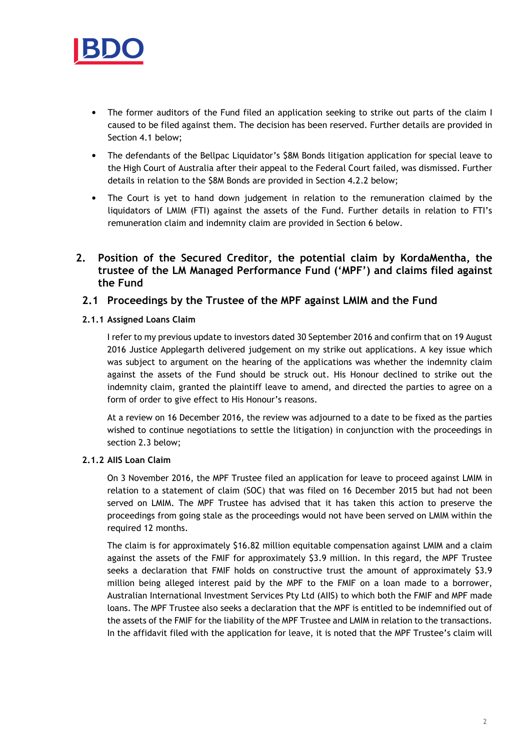

- The former auditors of the Fund filed an application seeking to strike out parts of the claim I caused to be filed against them. The decision has been reserved. Further details are provided in Section 4.1 below;
- The defendants of the Bellpac Liquidator's \$8M Bonds litigation application for special leave to the High Court of Australia after their appeal to the Federal Court failed, was dismissed. Further details in relation to the \$8M Bonds are provided in Section 4.2.2 below;
- The Court is yet to hand down judgement in relation to the remuneration claimed by the liquidators of LMIM (FTI) against the assets of the Fund. Further details in relation to FTI's remuneration claim and indemnity claim are provided in Section 6 below.
- 2. Position of the Secured Creditor, the potential claim by KordaMentha, the trustee of the LM Managed Performance Fund ('MPF') and claims filed against the Fund

## 2.1 Proceedings by the Trustee of the MPF against LMIM and the Fund

2.1.1 Assigned Loans Claim

I refer to my previous update to investors dated 30 September 2016 and confirm that on 19 August 2016 Justice Applegarth delivered judgement on my strike out applications. A key issue which was subject to argument on the hearing of the applications was whether the indemnity claim against the assets of the Fund should be struck out. His Honour declined to strike out the indemnity claim, granted the plaintiff leave to amend, and directed the parties to agree on a form of order to give effect to His Honour's reasons.

At a review on 16 December 2016, the review was adjourned to a date to be fixed as the parties wished to continue negotiations to settle the litigation) in conjunction with the proceedings in section 2.3 below;

### 2.1.2 AIIS Loan Claim

On 3 November 2016, the MPF Trustee filed an application for leave to proceed against LMIM in relation to a statement of claim (SOC) that was filed on 16 December 2015 but had not been served on LMIM. The MPF Trustee has advised that it has taken this action to preserve the proceedings from going stale as the proceedings would not have been served on LMIM within the required 12 months.

The claim is for approximately \$16.82 million equitable compensation against LMIM and a claim against the assets of the FMIF for approximately \$3.9 million. In this regard, the MPF Trustee seeks a declaration that FMIF holds on constructive trust the amount of approximately \$3.9 million being alleged interest paid by the MPF to the FMIF on a loan made to a borrower, Australian International Investment Services Pty Ltd (AIIS) to which both the FMIF and MPF made loans. The MPF Trustee also seeks a declaration that the MPF is entitled to be indemnified out of the assets of the FMIF for the liability of the MPF Trustee and LMIM in relation to the transactions. In the affidavit filed with the application for leave, it is noted that the MPF Trustee's claim will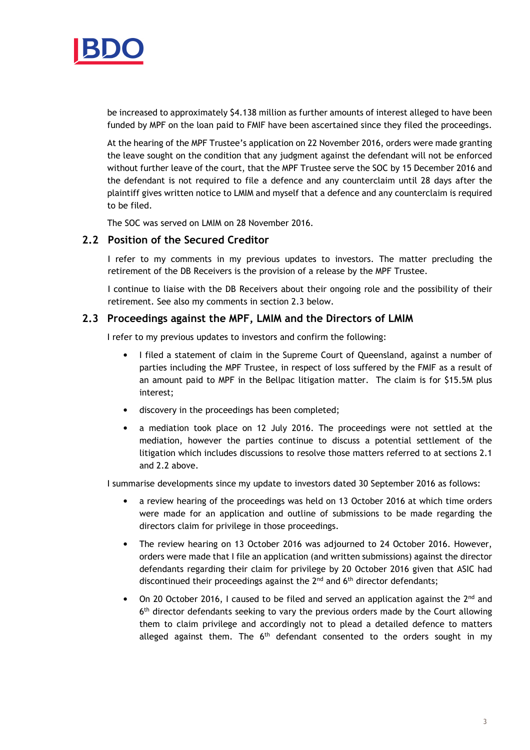

be increased to approximately \$4.138 million as further amounts of interest alleged to have been funded by MPF on the loan paid to FMIF have been ascertained since they filed the proceedings.

At the hearing of the MPF Trustee's application on 22 November 2016, orders were made granting the leave sought on the condition that any judgment against the defendant will not be enforced without further leave of the court, that the MPF Trustee serve the SOC by 15 December 2016 and the defendant is not required to file a defence and any counterclaim until 28 days after the plaintiff gives written notice to LMIM and myself that a defence and any counterclaim is required to be filed.

The SOC was served on LMIM on 28 November 2016.

### 2.2 Position of the Secured Creditor

I refer to my comments in my previous updates to investors. The matter precluding the retirement of the DB Receivers is the provision of a release by the MPF Trustee.

I continue to liaise with the DB Receivers about their ongoing role and the possibility of their retirement. See also my comments in section 2.3 below.

### 2.3 Proceedings against the MPF, LMIM and the Directors of LMIM

I refer to my previous updates to investors and confirm the following:

- I filed a statement of claim in the Supreme Court of Queensland, against a number of parties including the MPF Trustee, in respect of loss suffered by the FMIF as a result of an amount paid to MPF in the Bellpac litigation matter. The claim is for \$15.5M plus interest;
- discovery in the proceedings has been completed;
- a mediation took place on 12 July 2016. The proceedings were not settled at the mediation, however the parties continue to discuss a potential settlement of the litigation which includes discussions to resolve those matters referred to at sections 2.1 and 2.2 above.

I summarise developments since my update to investors dated 30 September 2016 as follows:

- a review hearing of the proceedings was held on 13 October 2016 at which time orders were made for an application and outline of submissions to be made regarding the directors claim for privilege in those proceedings.
- The review hearing on 13 October 2016 was adjourned to 24 October 2016. However, orders were made that I file an application (and written submissions) against the director defendants regarding their claim for privilege by 20 October 2016 given that ASIC had discontinued their proceedings against the  $2^{nd}$  and  $6^{th}$  director defendants;
- On 20 October 2016, I caused to be filed and served an application against the  $2^{nd}$  and  $6<sup>th</sup>$  director defendants seeking to vary the previous orders made by the Court allowing them to claim privilege and accordingly not to plead a detailed defence to matters alleged against them. The  $6<sup>th</sup>$  defendant consented to the orders sought in my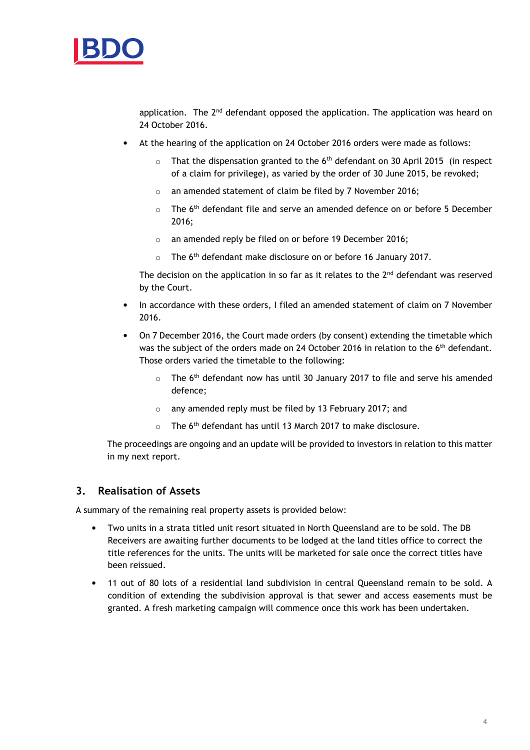

application. The  $2^{nd}$  defendant opposed the application. The application was heard on 24 October 2016.

- At the hearing of the application on 24 October 2016 orders were made as follows:
	- $\circ$  That the dispensation granted to the 6<sup>th</sup> defendant on 30 April 2015 (in respect of a claim for privilege), as varied by the order of 30 June 2015, be revoked;
	- o an amended statement of claim be filed by 7 November 2016;
	- $\circ$  The 6<sup>th</sup> defendant file and serve an amended defence on or before 5 December 2016;
	- o an amended reply be filed on or before 19 December 2016;
	- The 6<sup>th</sup> defendant make disclosure on or before 16 January 2017.

The decision on the application in so far as it relates to the  $2<sup>nd</sup>$  defendant was reserved by the Court.

- In accordance with these orders, I filed an amended statement of claim on 7 November 2016.
- On 7 December 2016, the Court made orders (by consent) extending the timetable which was the subject of the orders made on 24 October 2016 in relation to the 6<sup>th</sup> defendant. Those orders varied the timetable to the following:
	- $\circ$  The 6<sup>th</sup> defendant now has until 30 January 2017 to file and serve his amended defence;
	- o any amended reply must be filed by 13 February 2017; and
	- $\circ$  The 6<sup>th</sup> defendant has until 13 March 2017 to make disclosure.

The proceedings are ongoing and an update will be provided to investors in relation to this matter in my next report.

### 3. Realisation of Assets

A summary of the remaining real property assets is provided below:

- Two units in a strata titled unit resort situated in North Queensland are to be sold. The DB Receivers are awaiting further documents to be lodged at the land titles office to correct the title references for the units. The units will be marketed for sale once the correct titles have been reissued.
- 11 out of 80 lots of a residential land subdivision in central Queensland remain to be sold. A condition of extending the subdivision approval is that sewer and access easements must be granted. A fresh marketing campaign will commence once this work has been undertaken.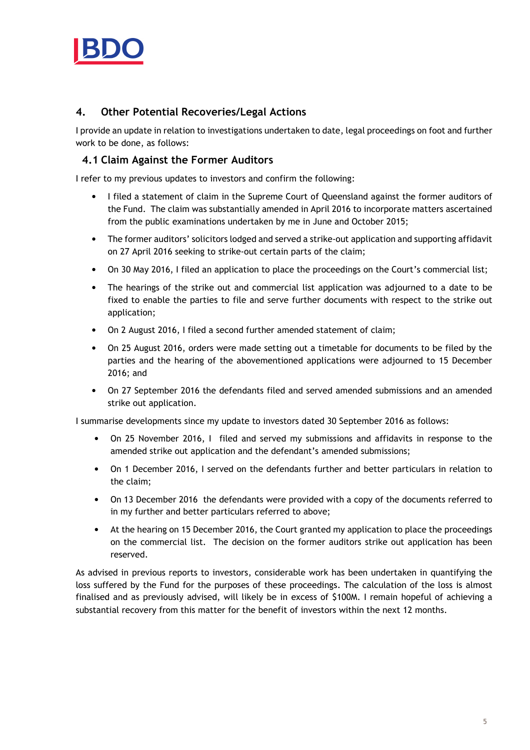

## 4. Other Potential Recoveries/Legal Actions

I provide an update in relation to investigations undertaken to date, legal proceedings on foot and further work to be done, as follows:

## 4.1 Claim Against the Former Auditors

I refer to my previous updates to investors and confirm the following:

- I filed a statement of claim in the Supreme Court of Queensland against the former auditors of the Fund. The claim was substantially amended in April 2016 to incorporate matters ascertained from the public examinations undertaken by me in June and October 2015;
- The former auditors' solicitors lodged and served a strike-out application and supporting affidavit on 27 April 2016 seeking to strike-out certain parts of the claim;
- On 30 May 2016, I filed an application to place the proceedings on the Court's commercial list;
- The hearings of the strike out and commercial list application was adjourned to a date to be fixed to enable the parties to file and serve further documents with respect to the strike out application;
- On 2 August 2016, I filed a second further amended statement of claim;
- On 25 August 2016, orders were made setting out a timetable for documents to be filed by the parties and the hearing of the abovementioned applications were adjourned to 15 December 2016; and
- On 27 September 2016 the defendants filed and served amended submissions and an amended strike out application.

I summarise developments since my update to investors dated 30 September 2016 as follows:

- On 25 November 2016, I filed and served my submissions and affidavits in response to the amended strike out application and the defendant's amended submissions;
- On 1 December 2016, I served on the defendants further and better particulars in relation to the claim;
- On 13 December 2016 the defendants were provided with a copy of the documents referred to in my further and better particulars referred to above;
- At the hearing on 15 December 2016, the Court granted my application to place the proceedings on the commercial list. The decision on the former auditors strike out application has been reserved.

As advised in previous reports to investors, considerable work has been undertaken in quantifying the loss suffered by the Fund for the purposes of these proceedings. The calculation of the loss is almost finalised and as previously advised, will likely be in excess of \$100M. I remain hopeful of achieving a substantial recovery from this matter for the benefit of investors within the next 12 months.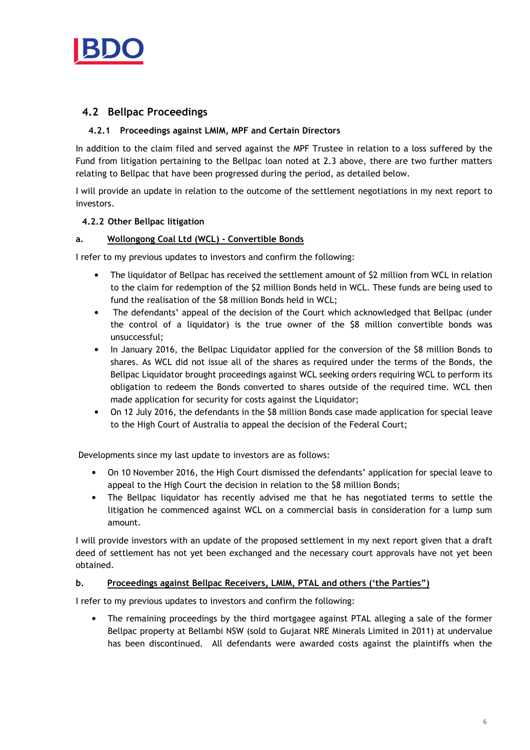

## 4.2 Bellpac Proceedings

#### 4.2.1 Proceedings against LMIM, MPF and Certain Directors

In addition to the claim filed and served against the MPF Trustee in relation to a loss suffered by the Fund from litigation pertaining to the Bellpac loan noted at 2.3 above, there are two further matters relating to Bellpac that have been progressed during the period, as detailed below.

I will provide an update in relation to the outcome of the settlement negotiations in my next report to investors.

#### 4.2.2 Other Bellpac litigation

#### a. Wollongong Coal Ltd (WCL) - Convertible Bonds

I refer to my previous updates to investors and confirm the following:

- The liquidator of Bellpac has received the settlement amount of \$2 million from WCL in relation to the claim for redemption of the \$2 million Bonds held in WCL. These funds are being used to fund the realisation of the \$8 million Bonds held in WCL;
- The defendants' appeal of the decision of the Court which acknowledged that Bellpac (under the control of a liquidator) is the true owner of the \$8 million convertible bonds was unsuccessful;
- In January 2016, the Bellpac Liquidator applied for the conversion of the \$8 million Bonds to shares. As WCL did not issue all of the shares as required under the terms of the Bonds, the Bellpac Liquidator brought proceedings against WCL seeking orders requiring WCL to perform its obligation to redeem the Bonds converted to shares outside of the required time. WCL then made application for security for costs against the Liquidator;
- On 12 July 2016, the defendants in the \$8 million Bonds case made application for special leave to the High Court of Australia to appeal the decision of the Federal Court;

Developments since my last update to investors are as follows:

- On 10 November 2016, the High Court dismissed the defendants' application for special leave to appeal to the High Court the decision in relation to the \$8 million Bonds;
- The Bellpac liquidator has recently advised me that he has negotiated terms to settle the litigation he commenced against WCL on a commercial basis in consideration for a lump sum amount.

I will provide investors with an update of the proposed settlement in my next report given that a draft deed of settlement has not yet been exchanged and the necessary court approvals have not yet been obtained.

#### b. Proceedings against Bellpac Receivers, LMIM, PTAL and others ('the Parties")

I refer to my previous updates to investors and confirm the following:

• The remaining proceedings by the third mortgagee against PTAL alleging a sale of the former Bellpac property at Bellambi NSW (sold to Gujarat NRE Minerals Limited in 2011) at undervalue has been discontinued. All defendants were awarded costs against the plaintiffs when the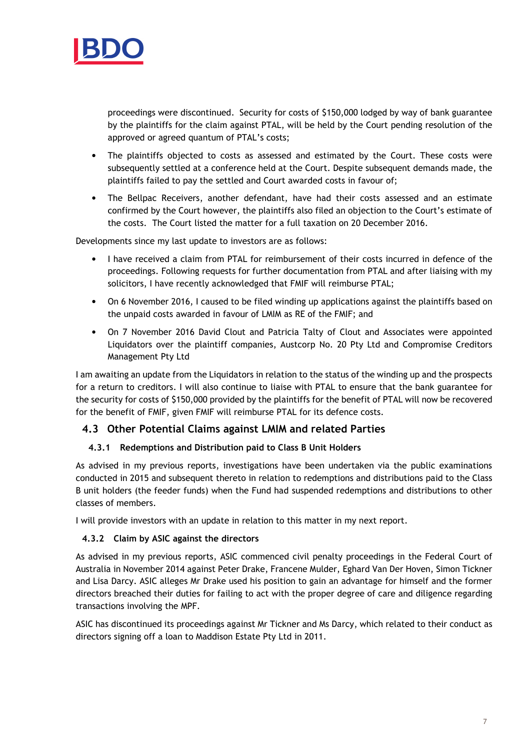

proceedings were discontinued. Security for costs of \$150,000 lodged by way of bank guarantee by the plaintiffs for the claim against PTAL, will be held by the Court pending resolution of the approved or agreed quantum of PTAL's costs;

- The plaintiffs objected to costs as assessed and estimated by the Court. These costs were subsequently settled at a conference held at the Court. Despite subsequent demands made, the plaintiffs failed to pay the settled and Court awarded costs in favour of;
- The Bellpac Receivers, another defendant, have had their costs assessed and an estimate confirmed by the Court however, the plaintiffs also filed an objection to the Court's estimate of the costs. The Court listed the matter for a full taxation on 20 December 2016.

Developments since my last update to investors are as follows:

- I have received a claim from PTAL for reimbursement of their costs incurred in defence of the proceedings. Following requests for further documentation from PTAL and after liaising with my solicitors, I have recently acknowledged that FMIF will reimburse PTAL;
- On 6 November 2016, I caused to be filed winding up applications against the plaintiffs based on the unpaid costs awarded in favour of LMIM as RE of the FMIF; and
- On 7 November 2016 David Clout and Patricia Talty of Clout and Associates were appointed Liquidators over the plaintiff companies, Austcorp No. 20 Pty Ltd and Compromise Creditors Management Pty Ltd

I am awaiting an update from the Liquidators in relation to the status of the winding up and the prospects for a return to creditors. I will also continue to liaise with PTAL to ensure that the bank guarantee for the security for costs of \$150,000 provided by the plaintiffs for the benefit of PTAL will now be recovered for the benefit of FMIF, given FMIF will reimburse PTAL for its defence costs.

## 4.3 Other Potential Claims against LMIM and related Parties

### 4.3.1 Redemptions and Distribution paid to Class B Unit Holders

As advised in my previous reports, investigations have been undertaken via the public examinations conducted in 2015 and subsequent thereto in relation to redemptions and distributions paid to the Class B unit holders (the feeder funds) when the Fund had suspended redemptions and distributions to other classes of members.

I will provide investors with an update in relation to this matter in my next report.

#### 4.3.2 Claim by ASIC against the directors

As advised in my previous reports, ASIC commenced civil penalty proceedings in the Federal Court of Australia in November 2014 against Peter Drake, Francene Mulder, Eghard Van Der Hoven, Simon Tickner and Lisa Darcy. ASIC alleges Mr Drake used his position to gain an advantage for himself and the former directors breached their duties for failing to act with the proper degree of care and diligence regarding transactions involving the MPF.

ASIC has discontinued its proceedings against Mr Tickner and Ms Darcy, which related to their conduct as directors signing off a loan to Maddison Estate Pty Ltd in 2011.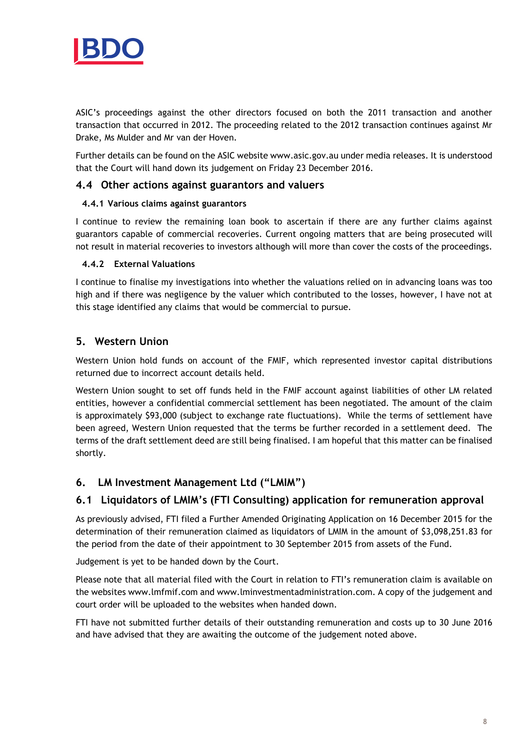

ASIC's proceedings against the other directors focused on both the 2011 transaction and another transaction that occurred in 2012. The proceeding related to the 2012 transaction continues against Mr Drake, Ms Mulder and Mr van der Hoven.

Further details can be found on the ASIC website www.asic.gov.au under media releases. It is understood that the Court will hand down its judgement on Friday 23 December 2016.

### 4.4 Other actions against guarantors and valuers

#### 4.4.1 Various claims against guarantors

I continue to review the remaining loan book to ascertain if there are any further claims against guarantors capable of commercial recoveries. Current ongoing matters that are being prosecuted will not result in material recoveries to investors although will more than cover the costs of the proceedings.

#### 4.4.2 External Valuations

I continue to finalise my investigations into whether the valuations relied on in advancing loans was too high and if there was negligence by the valuer which contributed to the losses, however, I have not at this stage identified any claims that would be commercial to pursue.

## 5. Western Union

Western Union hold funds on account of the FMIF, which represented investor capital distributions returned due to incorrect account details held.

Western Union sought to set off funds held in the FMIF account against liabilities of other LM related entities, however a confidential commercial settlement has been negotiated. The amount of the claim is approximately \$93,000 (subject to exchange rate fluctuations). While the terms of settlement have been agreed, Western Union requested that the terms be further recorded in a settlement deed. The terms of the draft settlement deed are still being finalised. I am hopeful that this matter can be finalised shortly.

## 6. LM Investment Management Ltd ("LMIM")

## 6.1 Liquidators of LMIM's (FTI Consulting) application for remuneration approval

As previously advised, FTI filed a Further Amended Originating Application on 16 December 2015 for the determination of their remuneration claimed as liquidators of LMIM in the amount of \$3,098,251.83 for the period from the date of their appointment to 30 September 2015 from assets of the Fund.

Judgement is yet to be handed down by the Court.

Please note that all material filed with the Court in relation to FTI's remuneration claim is available on the websites www.lmfmif.com and www.lminvestmentadministration.com. A copy of the judgement and court order will be uploaded to the websites when handed down.

FTI have not submitted further details of their outstanding remuneration and costs up to 30 June 2016 and have advised that they are awaiting the outcome of the judgement noted above.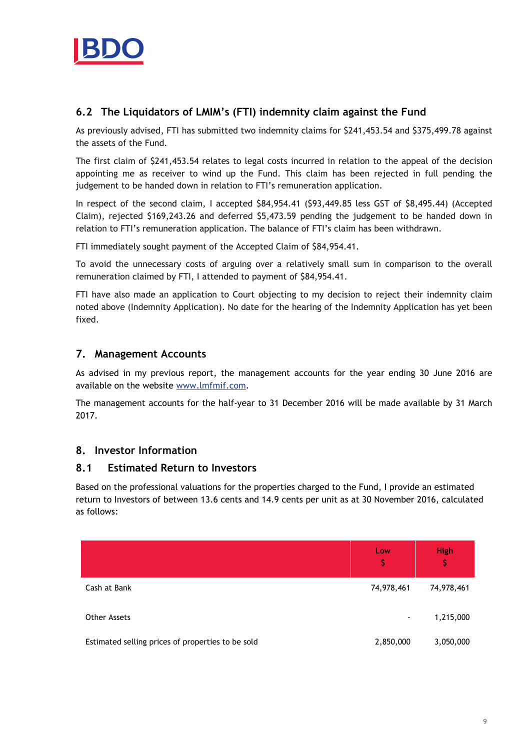

## 6.2 The Liquidators of LMIM's (FTI) indemnity claim against the Fund

As previously advised, FTI has submitted two indemnity claims for \$241,453.54 and \$375,499.78 against the assets of the Fund.

The first claim of \$241,453.54 relates to legal costs incurred in relation to the appeal of the decision appointing me as receiver to wind up the Fund. This claim has been rejected in full pending the judgement to be handed down in relation to FTI's remuneration application.

In respect of the second claim, I accepted \$84,954.41 (\$93,449.85 less GST of \$8,495.44) (Accepted Claim), rejected \$169,243.26 and deferred \$5,473.59 pending the judgement to be handed down in relation to FTI's remuneration application. The balance of FTI's claim has been withdrawn.

FTI immediately sought payment of the Accepted Claim of \$84,954.41.

To avoid the unnecessary costs of arguing over a relatively small sum in comparison to the overall remuneration claimed by FTI, I attended to payment of \$84,954.41.

FTI have also made an application to Court objecting to my decision to reject their indemnity claim noted above (Indemnity Application). No date for the hearing of the Indemnity Application has yet been fixed.

## 7. Management Accounts

As advised in my previous report, the management accounts for the year ending 30 June 2016 are available on the website www.lmfmif.com.

The management accounts for the half-year to 31 December 2016 will be made available by 31 March 2017.

### 8. Investor Information

### 8.1 Estimated Return to Investors

Based on the professional valuations for the properties charged to the Fund, I provide an estimated return to Investors of between 13.6 cents and 14.9 cents per unit as at 30 November 2016, calculated as follows:

|                                                   | Low<br>\$  | <b>High</b><br>\$ |
|---------------------------------------------------|------------|-------------------|
| Cash at Bank                                      | 74,978,461 | 74,978,461        |
| <b>Other Assets</b>                               | ٠          | 1,215,000         |
| Estimated selling prices of properties to be sold | 2,850,000  | 3,050,000         |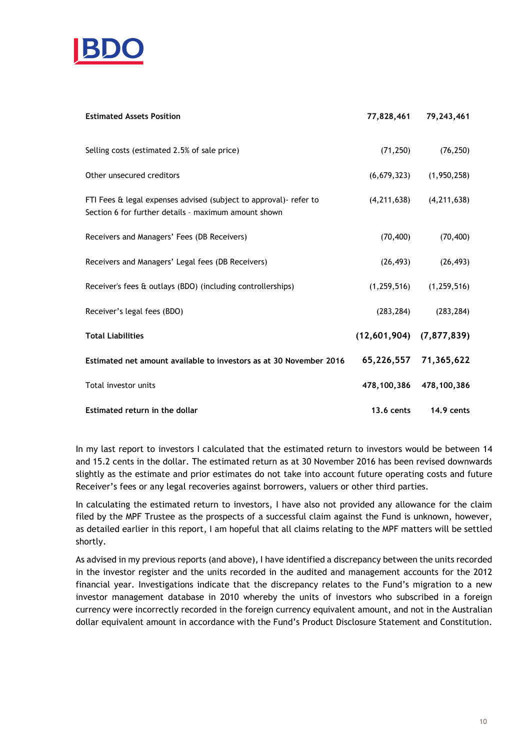

| <b>Estimated Assets Position</b>                                                                                           | 77,828,461                   | 79,243,461            |
|----------------------------------------------------------------------------------------------------------------------------|------------------------------|-----------------------|
|                                                                                                                            |                              |                       |
| Selling costs (estimated 2.5% of sale price)                                                                               | (71, 250)                    | (76, 250)             |
| Other unsecured creditors                                                                                                  | (6, 679, 323)                | (1,950,258)           |
| FTI Fees & legal expenses advised (subject to approval) - refer to<br>Section 6 for further details - maximum amount shown | (4, 211, 638)                | (4, 211, 638)         |
| Receivers and Managers' Fees (DB Receivers)                                                                                | (70, 400)                    | (70, 400)             |
| Receivers and Managers' Legal fees (DB Receivers)                                                                          | (26, 493)                    | (26, 493)             |
| Receiver's fees & outlays (BDO) (including controllerships)                                                                | (1, 259, 516)                | (1, 259, 516)         |
| Receiver's legal fees (BDO)                                                                                                | (283, 284)                   | (283, 284)            |
| <b>Total Liabilities</b>                                                                                                   | $(12,601,904)$ $(7,877,839)$ |                       |
| Estimated net amount available to investors as at 30 November 2016                                                         |                              | 65,226,557 71,365,622 |
| Total investor units                                                                                                       | 478,100,386                  | 478,100,386           |
| Estimated return in the dollar                                                                                             | <b>13.6 cents</b>            | 14.9 cents            |

In my last report to investors I calculated that the estimated return to investors would be between 14 and 15.2 cents in the dollar. The estimated return as at 30 November 2016 has been revised downwards slightly as the estimate and prior estimates do not take into account future operating costs and future Receiver's fees or any legal recoveries against borrowers, valuers or other third parties.

In calculating the estimated return to investors, I have also not provided any allowance for the claim filed by the MPF Trustee as the prospects of a successful claim against the Fund is unknown, however, as detailed earlier in this report, I am hopeful that all claims relating to the MPF matters will be settled shortly.

As advised in my previous reports (and above), I have identified a discrepancy between the units recorded in the investor register and the units recorded in the audited and management accounts for the 2012 financial year. Investigations indicate that the discrepancy relates to the Fund's migration to a new investor management database in 2010 whereby the units of investors who subscribed in a foreign currency were incorrectly recorded in the foreign currency equivalent amount, and not in the Australian dollar equivalent amount in accordance with the Fund's Product Disclosure Statement and Constitution.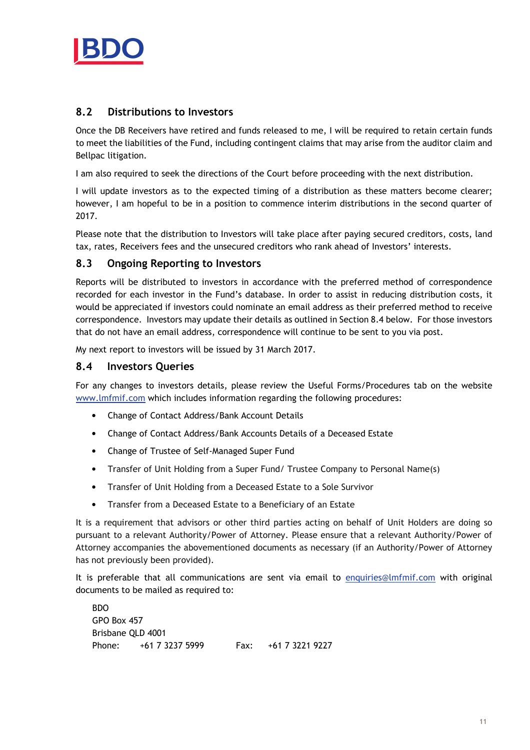

## 8.2 Distributions to Investors

Once the DB Receivers have retired and funds released to me, I will be required to retain certain funds to meet the liabilities of the Fund, including contingent claims that may arise from the auditor claim and Bellpac litigation.

I am also required to seek the directions of the Court before proceeding with the next distribution.

I will update investors as to the expected timing of a distribution as these matters become clearer; however, I am hopeful to be in a position to commence interim distributions in the second quarter of 2017.

Please note that the distribution to Investors will take place after paying secured creditors, costs, land tax, rates, Receivers fees and the unsecured creditors who rank ahead of Investors' interests.

## 8.3 Ongoing Reporting to Investors

Reports will be distributed to investors in accordance with the preferred method of correspondence recorded for each investor in the Fund's database. In order to assist in reducing distribution costs, it would be appreciated if investors could nominate an email address as their preferred method to receive correspondence. Investors may update their details as outlined in Section 8.4 below. For those investors that do not have an email address, correspondence will continue to be sent to you via post.

My next report to investors will be issued by 31 March 2017.

### 8.4 Investors Queries

For any changes to investors details, please review the Useful Forms/Procedures tab on the website www.lmfmif.com which includes information regarding the following procedures:

- Change of Contact Address/Bank Account Details
- Change of Contact Address/Bank Accounts Details of a Deceased Estate
- Change of Trustee of Self-Managed Super Fund
- Transfer of Unit Holding from a Super Fund/ Trustee Company to Personal Name(s)
- Transfer of Unit Holding from a Deceased Estate to a Sole Survivor
- Transfer from a Deceased Estate to a Beneficiary of an Estate

It is a requirement that advisors or other third parties acting on behalf of Unit Holders are doing so pursuant to a relevant Authority/Power of Attorney. Please ensure that a relevant Authority/Power of Attorney accompanies the abovementioned documents as necessary (if an Authority/Power of Attorney has not previously been provided).

It is preferable that all communications are sent via email to enquiries@lmfmif.com with original documents to be mailed as required to:

| <b>BDO</b>        |                          |                        |
|-------------------|--------------------------|------------------------|
| GPO Box 457       |                          |                        |
| Brisbane QLD 4001 |                          |                        |
|                   | Phone: $+61$ 7 3237 5999 | Fax: $+61$ 7 3221 9227 |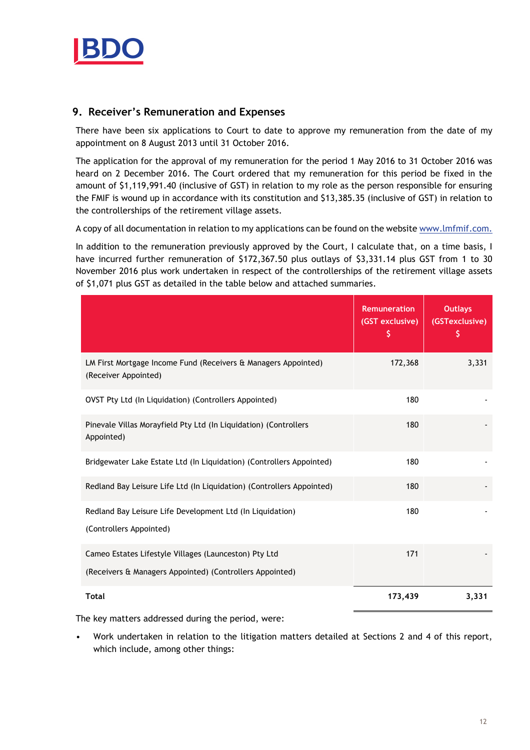

## 9. Receiver's Remuneration and Expenses

There have been six applications to Court to date to approve my remuneration from the date of my appointment on 8 August 2013 until 31 October 2016.

The application for the approval of my remuneration for the period 1 May 2016 to 31 October 2016 was heard on 2 December 2016. The Court ordered that my remuneration for this period be fixed in the amount of \$1,119,991.40 (inclusive of GST) in relation to my role as the person responsible for ensuring the FMIF is wound up in accordance with its constitution and \$13,385.35 (inclusive of GST) in relation to the controllerships of the retirement village assets.

A copy of all documentation in relation to my applications can be found on the website www.lmfmif.com.

In addition to the remuneration previously approved by the Court, I calculate that, on a time basis, I have incurred further remuneration of \$172,367.50 plus outlays of \$3,331.14 plus GST from 1 to 30 November 2016 plus work undertaken in respect of the controllerships of the retirement village assets of \$1,071 plus GST as detailed in the table below and attached summaries.

|                                                                                                                   | <b>Remuneration</b><br>(GST exclusive)<br>\$ | <b>Outlays</b><br>(GSTexclusive)<br>\$ |
|-------------------------------------------------------------------------------------------------------------------|----------------------------------------------|----------------------------------------|
| LM First Mortgage Income Fund (Receivers & Managers Appointed)<br>(Receiver Appointed)                            | 172,368                                      | 3,331                                  |
| OVST Pty Ltd (In Liquidation) (Controllers Appointed)                                                             | 180                                          |                                        |
| Pinevale Villas Morayfield Pty Ltd (In Liquidation) (Controllers<br>Appointed)                                    | 180                                          |                                        |
| Bridgewater Lake Estate Ltd (In Liquidation) (Controllers Appointed)                                              | 180                                          |                                        |
| Redland Bay Leisure Life Ltd (In Liquidation) (Controllers Appointed)                                             | 180                                          |                                        |
| Redland Bay Leisure Life Development Ltd (In Liquidation)<br>(Controllers Appointed)                              | 180                                          |                                        |
| Cameo Estates Lifestyle Villages (Launceston) Pty Ltd<br>(Receivers & Managers Appointed) (Controllers Appointed) | 171                                          |                                        |
| <b>Total</b>                                                                                                      | 173,439                                      | 3,331                                  |

The key matters addressed during the period, were:

• Work undertaken in relation to the litigation matters detailed at Sections 2 and 4 of this report, which include, among other things: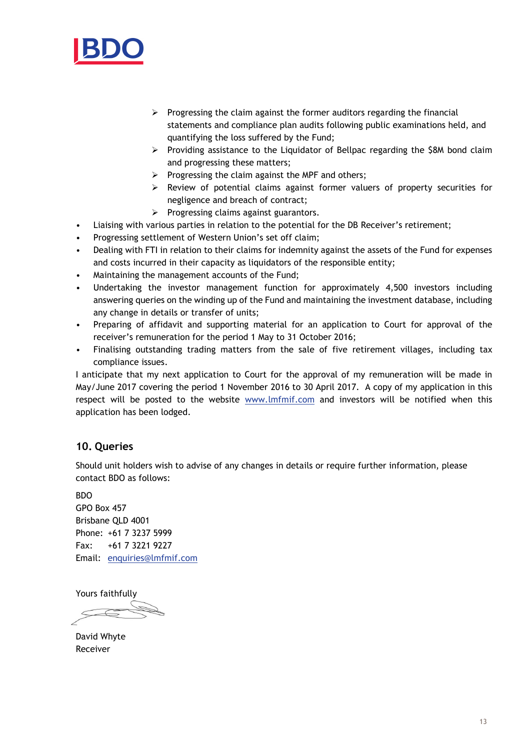

- $\triangleright$  Progressing the claim against the former auditors regarding the financial statements and compliance plan audits following public examinations held, and quantifying the loss suffered by the Fund;
- Providing assistance to the Liquidator of Bellpac regarding the \$8M bond claim and progressing these matters;
- $\triangleright$  Progressing the claim against the MPF and others;
- $\triangleright$  Review of potential claims against former valuers of property securities for negligence and breach of contract;
- $\triangleright$  Progressing claims against guarantors.
- Liaising with various parties in relation to the potential for the DB Receiver's retirement;
- Progressing settlement of Western Union's set off claim;
- Dealing with FTI in relation to their claims for indemnity against the assets of the Fund for expenses and costs incurred in their capacity as liquidators of the responsible entity;
- Maintaining the management accounts of the Fund;
- Undertaking the investor management function for approximately 4,500 investors including answering queries on the winding up of the Fund and maintaining the investment database, including any change in details or transfer of units;
- Preparing of affidavit and supporting material for an application to Court for approval of the receiver's remuneration for the period 1 May to 31 October 2016;
- Finalising outstanding trading matters from the sale of five retirement villages, including tax compliance issues.

I anticipate that my next application to Court for the approval of my remuneration will be made in May/June 2017 covering the period 1 November 2016 to 30 April 2017. A copy of my application in this respect will be posted to the website www.lmfmif.com and investors will be notified when this application has been lodged.

## 10. Queries

Should unit holders wish to advise of any changes in details or require further information, please contact BDO as follows:

**BDO** GPO Box 457 Brisbane QLD 4001 Phone: +61 7 3237 5999 Fax: +61 7 3221 9227 Email: enquiries@lmfmif.com

Yours faithfully

David Whyte Receiver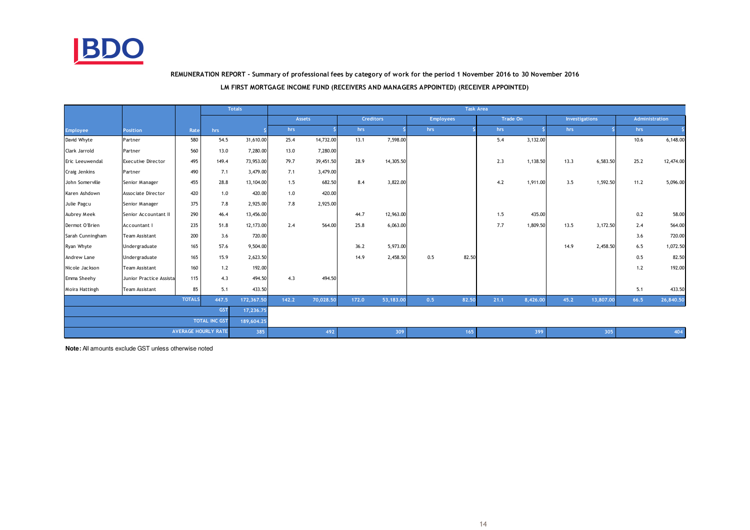

#### REMUNERATION REPORT - Summary of professional fees by category of work for the period 1 November 2016 to 30 November 2016

LM FIRST MORTGAGE INCOME FUND (RECEIVERS AND MANAGERS APPOINTED) (RECEIVER APPOINTED)

|                      |                           |               |                            | <b>Totals</b> |       | <b>Task Area</b> |       |                  |                  |       |      |          |      |                       |      |                |
|----------------------|---------------------------|---------------|----------------------------|---------------|-------|------------------|-------|------------------|------------------|-------|------|----------|------|-----------------------|------|----------------|
|                      |                           |               |                            |               |       | Assets           |       | <b>Creditors</b> | <b>Employees</b> |       |      | Trade On |      | <b>Investigations</b> |      | Administration |
| <b>Employee</b>      | <b>Position</b>           | Rate          | hrs                        |               | hrs   |                  | hrs   |                  | hrs              |       | hrs  |          | hrs  |                       | hrs  |                |
| David Whyte          | Partner                   | 580           | 54.5                       | 31,610.00     | 25.4  | 14,732.00        | 13.1  | 7,598.00         |                  |       | 5.4  | 3,132.00 |      |                       | 10.6 | 6,148.00       |
| Clark Jarrold        | Partner                   | 560           | 13.0                       | 7,280.00      | 13.0  | 7,280.00         |       |                  |                  |       |      |          |      |                       |      |                |
| Eric Leeuwendal      | <b>Executive Director</b> | 495           | 149.4                      | 73,953.00     | 79.7  | 39,451.50        | 28.9  | 14,305.50        |                  |       | 2.3  | 1,138.50 | 13.3 | 6,583.50              | 25.2 | 12,474.00      |
| <b>Craig Jenkins</b> | Partner                   | 490           | 7.1                        | 3,479.00      | 7.1   | 3,479.00         |       |                  |                  |       |      |          |      |                       |      |                |
| John Somerville      | Senior Manager            | 455           | 28.8                       | 13,104.00     | 1.5   | 682.50           | 8.4   | 3,822.00         |                  |       | 4.2  | 1,911.00 | 3.5  | 1,592.50              | 11.2 | 5,096.00       |
| Karen Ashdown        | Associate Director        | 420           | 1.0                        | 420.00        | 1.0   | 420.00           |       |                  |                  |       |      |          |      |                       |      |                |
| Julie Pagcu          | Senior Manager            | 375           | 7.8                        | 2,925.00      | 7.8   | 2,925.00         |       |                  |                  |       |      |          |      |                       |      |                |
| Aubrey Meek          | Senior Accountant II      | 290           | 46.4                       | 13,456.00     |       |                  | 44.7  | 12,963.00        |                  |       | 1.5  | 435.00   |      |                       | 0.2  | 58.00          |
| Dermot O'Brien       | Accountant I              | 235           | 51.8                       | 12,173.00     | 2.4   | 564.00           | 25.8  | 6,063.00         |                  |       | 7.7  | 1,809.50 | 13.5 | 3,172.50              | 2.4  | 564.00         |
| Sarah Cunningham     | <b>Team Assistant</b>     | 200           | 3.6                        | 720.00        |       |                  |       |                  |                  |       |      |          |      |                       | 3.6  | 720.00         |
| Ryan Whyte           | Undergraduate             | 165           | 57.6                       | 9,504.00      |       |                  | 36.2  | 5,973.00         |                  |       |      |          | 14.9 | 2,458.50              | 6.5  | 1,072.50       |
| Andrew Lane          | Undergraduate             | 165           | 15.9                       | 2,623.50      |       |                  | 14.9  | 2,458.50         | 0.5              | 82.50 |      |          |      |                       | 0.5  | 82.50          |
| Nicole Jackson       | <b>Team Assistant</b>     | 160           | 1.2                        | 192.00        |       |                  |       |                  |                  |       |      |          |      |                       | 1.2  | 192.00         |
| Emma Sheehy          | Junior Practice Assista   | 115           | 4.3                        | 494.50        | 4.3   | 494.50           |       |                  |                  |       |      |          |      |                       |      |                |
| Moira Hattingh       | Team Assistant            | 85            | 5.1                        | 433.50        |       |                  |       |                  |                  |       |      |          |      |                       | 5.1  | 433.50         |
|                      |                           | <b>TOTALS</b> | 447.5                      | 172,367.50    | 142.2 | 70,028.50        | 172.0 | 53,183.00        | 0.5              | 82,50 | 21.1 | 8,426.00 | 45.2 | 13,807.00             | 66.5 | 26,840.50      |
|                      |                           |               | <b>GST</b>                 | 17,236.75     |       |                  |       |                  |                  |       |      |          |      |                       |      |                |
|                      |                           |               | <b>TOTAL INC GST</b>       | 189,604.25    |       |                  |       |                  |                  |       |      |          |      |                       |      |                |
|                      |                           |               | <b>AVERAGE HOURLY RATE</b> | 385           |       | 492              |       | 309              |                  | 165   |      | 399      |      | 305                   |      | 404            |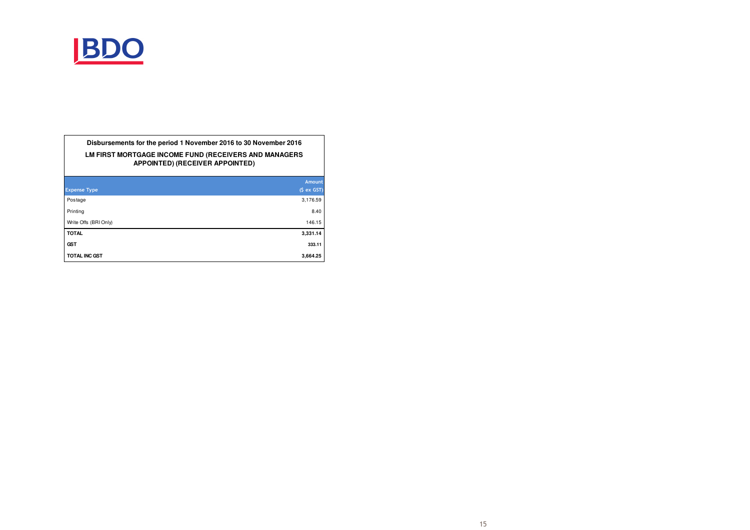

| Disbursements for the period 1 November 2016 to 30 November 2016 |
|------------------------------------------------------------------|
| LM FIRST MORTGAGE INCOME FUND (RECEIVERS AND MANAGERS            |
| APPOINTED) (RECEIVER APPOINTED)                                  |

|                       | Amount     |
|-----------------------|------------|
| <b>Expense Type</b>   | (S ex GST) |
| Postage               | 3,176.59   |
| Printing              | 8.40       |
| Write Offs (BRI Only) | 146.15     |
| <b>TOTAL</b>          | 3,331.14   |
| <b>GST</b>            | 333.11     |
| TOTAL INC GST         | 3,664.25   |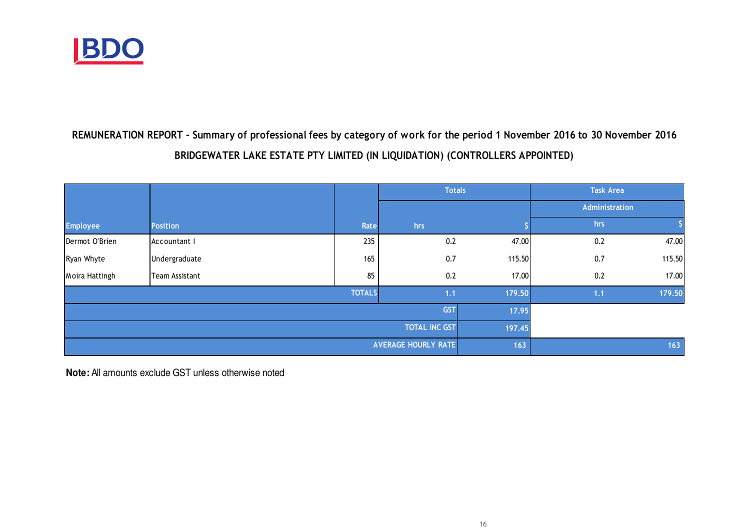

## BRIDGEWATER LAKE ESTATE PTY LIMITED (IN LIQUIDATION) (CONTROLLERS APPOINTED)REMUNERATION REPORT - Summary of professional fees by category of work for the period 1 November 2016 to 30 November 2016

|                 |                 |               | <b>Totals</b>              |        | <b>Task Area</b> |        |  |
|-----------------|-----------------|---------------|----------------------------|--------|------------------|--------|--|
|                 |                 |               |                            |        | Administration   |        |  |
| <b>Employee</b> | <b>Position</b> | Rate          | hrs                        |        | hrs              |        |  |
| Dermot O'Brien  | Accountant I    | 235           | 0.2                        | 47.00  | 0.2              | 47.00  |  |
| Ryan Whyte      | Undergraduate   | 165           | 0.7                        | 115.50 | 0.7              | 115.50 |  |
| Moira Hattingh  | Team Assistant  | 85            | 0.2                        | 17.00  | 0.2              | 17.00  |  |
|                 |                 | <b>TOTALS</b> | 1.1                        | 179.50 | 1.1              | 179.50 |  |
|                 |                 |               | <b>GST</b>                 | 17.95  |                  |        |  |
|                 |                 |               | <b>TOTAL INC GST</b>       | 197.45 |                  |        |  |
|                 |                 |               | <b>AVERAGE HOURLY RATE</b> | 163    |                  | 163    |  |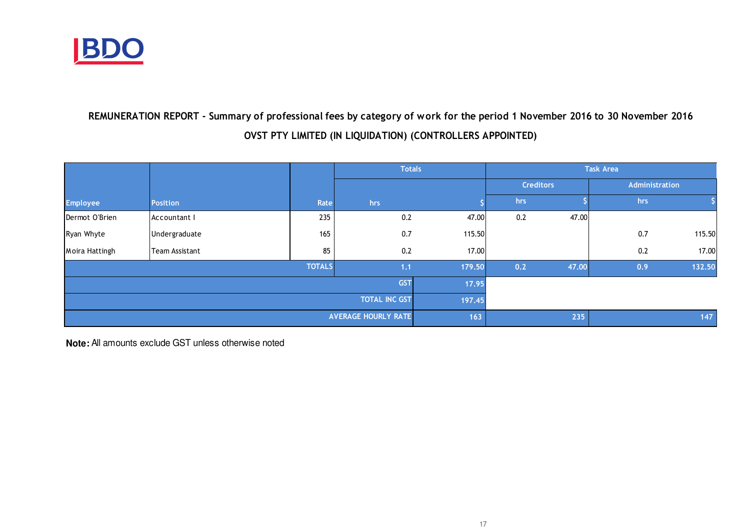

## REMUNERATION REPORT - Summary of professional fees by category of work for the period 1 November 2016 to 30 November 2016OVST PTY LIMITED (IN LIQUIDATION) (CONTROLLERS APPOINTED)

|                 |                 |               | <b>Totals</b>              |        | <b>Task Area</b> |       |                |        |
|-----------------|-----------------|---------------|----------------------------|--------|------------------|-------|----------------|--------|
|                 |                 |               | <b>Creditors</b>           |        |                  |       | Administration |        |
| <b>Employee</b> | <b>Position</b> | Rate          | hrs                        |        | hrs              |       | hrs            |        |
| Dermot O'Brien  | Accountant I    | 235           | 0.2                        | 47.00  | 0.2              | 47.00 |                |        |
| Ryan Whyte      | Undergraduate   | 165           | 0.7                        | 115.50 |                  |       | 0.7            | 115.50 |
| Moira Hattingh  | Team Assistant  | 85            | 0.2                        | 17.00  |                  |       | 0.2            | 17.00  |
|                 |                 | <b>TOTALS</b> | 1.1                        | 179.50 | 0.2              | 47.00 | 0.9            | 132.50 |
|                 |                 |               | <b>GST</b>                 | 17.95  |                  |       |                |        |
|                 |                 |               | <b>TOTAL INC GST</b>       | 197.45 |                  |       |                |        |
|                 |                 |               | <b>AVERAGE HOURLY RATE</b> | 163    |                  | 235   |                | 147    |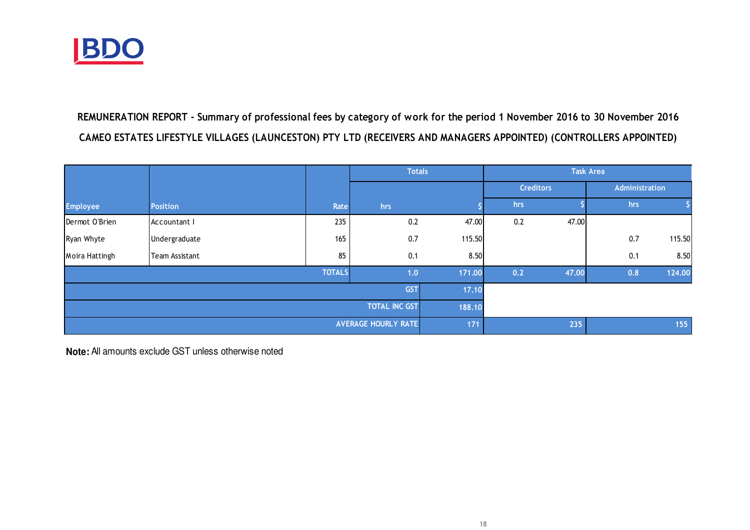

CAMEO ESTATES LIFESTYLE VILLAGES (LAUNCESTON) PTY LTD (RECEIVERS AND MANAGERS APPOINTED) (CONTROLLERS APPOINTED)REMUNERATION REPORT - Summary of professional fees by category of work for the period 1 November 2016 to 30 November 2016

|                 |                       |               | <b>Totals</b>              |        |     |       | <b>Task Area</b> |        |
|-----------------|-----------------------|---------------|----------------------------|--------|-----|-------|------------------|--------|
|                 |                       |               | <b>Creditors</b>           |        |     |       | Administration   |        |
| <b>Employee</b> | <b>Position</b>       | Rate          | hrs                        |        | hrs |       | hrs              |        |
| Dermot O'Brien  | Accountant I          | 235           | 0.2                        | 47.00  | 0.2 | 47.00 |                  |        |
| Ryan Whyte      | Undergraduate         | 165           | 0.7                        | 115.50 |     |       | 0.7              | 115.50 |
| Moira Hattingh  | <b>Team Assistant</b> | 85            | 0.1                        | 8.50   |     |       | 0.1              | 8.50   |
|                 |                       | <b>TOTALS</b> | 1.0                        | 171.00 | 0.2 | 47.00 | 0.8              | 124.00 |
|                 |                       |               | <b>GST</b>                 | 17.10  |     |       |                  |        |
|                 |                       |               | <b>TOTAL INC GST</b>       | 188.10 |     |       |                  |        |
|                 |                       |               | <b>AVERAGE HOURLY RATE</b> | 171    |     | 235   |                  | 155    |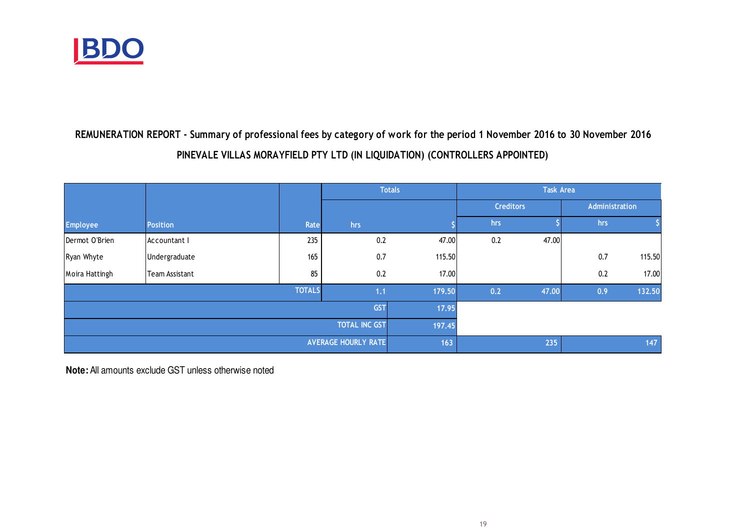

# REMUNERATION REPORT - Summary of professional fees by category of work for the period 1 November 2016 to 30 November 2016PINEVALE VILLAS MORAYFIELD PTY LTD (IN LIQUIDATION) (CONTROLLERS APPOINTED)

|                 |                       |               |                            | <b>Totals</b> |                  | <b>Task Area</b> |                |        |
|-----------------|-----------------------|---------------|----------------------------|---------------|------------------|------------------|----------------|--------|
|                 |                       |               |                            |               | <b>Creditors</b> |                  | Administration |        |
| <b>Employee</b> | <b>Position</b>       | Rate          | hrs                        |               | hrs              |                  | hrs            |        |
| Dermot O'Brien  | Accountant I          | 235           | 0.2                        | 47.00         | 0.2              | 47.00            |                |        |
| Ryan Whyte      | Undergraduate         | 165           | 0.7                        | 115.50        |                  |                  | 0.7            | 115.50 |
| Moira Hattingh  | <b>Team Assistant</b> | 85            | 0.2                        | 17.00         |                  |                  | 0.2            | 17.00  |
|                 |                       | <b>TOTALS</b> | 1.1                        | 179.50        | 0.2              | 47.00            | 0.9            | 132.50 |
|                 |                       |               | <b>GST</b>                 | 17.95         |                  |                  |                |        |
|                 |                       |               | <b>TOTAL INC GST</b>       | 197.45        |                  |                  |                |        |
|                 |                       |               | <b>AVERAGE HOURLY RATE</b> | 163           |                  | 235              |                | 147    |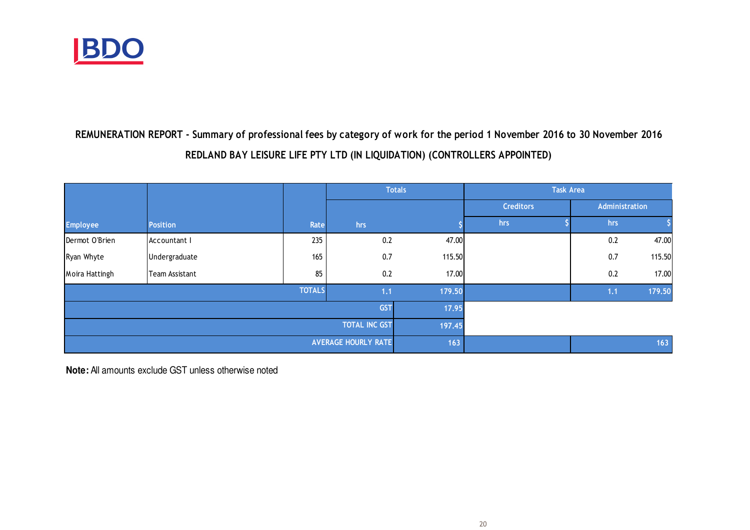

# REMUNERATION REPORT - Summary of professional fees by category of work for the period 1 November 2016 to 30 November 2016REDLAND BAY LEISURE LIFE PTY LTD (IN LIQUIDATION) (CONTROLLERS APPOINTED)

|                      |                 |               |                            | <b>Totals</b> |                  | <b>Task Area</b> |     |                |  |
|----------------------|-----------------|---------------|----------------------------|---------------|------------------|------------------|-----|----------------|--|
|                      |                 |               |                            |               | <b>Creditors</b> |                  |     | Administration |  |
| <b>Employee</b>      | <b>Position</b> | Rate          | hrs                        |               | hrs              |                  | hrs |                |  |
| Dermot O'Brien       | Accountant I    | 235           | 0.2                        | 47.00         |                  |                  | 0.2 | 47.00          |  |
| Ryan Whyte           | Undergraduate   | 165           | 0.7                        | 115.50        |                  |                  | 0.7 | 115.50         |  |
| Moira Hattingh       | Team Assistant  | 85            | 0.2                        | 17.00         |                  |                  | 0.2 | 17.00          |  |
|                      |                 | <b>TOTALS</b> | 1.1                        | 179.50        |                  |                  | 1.1 | 179.50         |  |
|                      |                 |               | <b>GST</b>                 | 17.95         |                  |                  |     |                |  |
| <b>TOTAL INC GST</b> |                 |               |                            | 197.45        |                  |                  |     |                |  |
|                      |                 |               | <b>AVERAGE HOURLY RATE</b> | 163           |                  |                  |     | 163            |  |